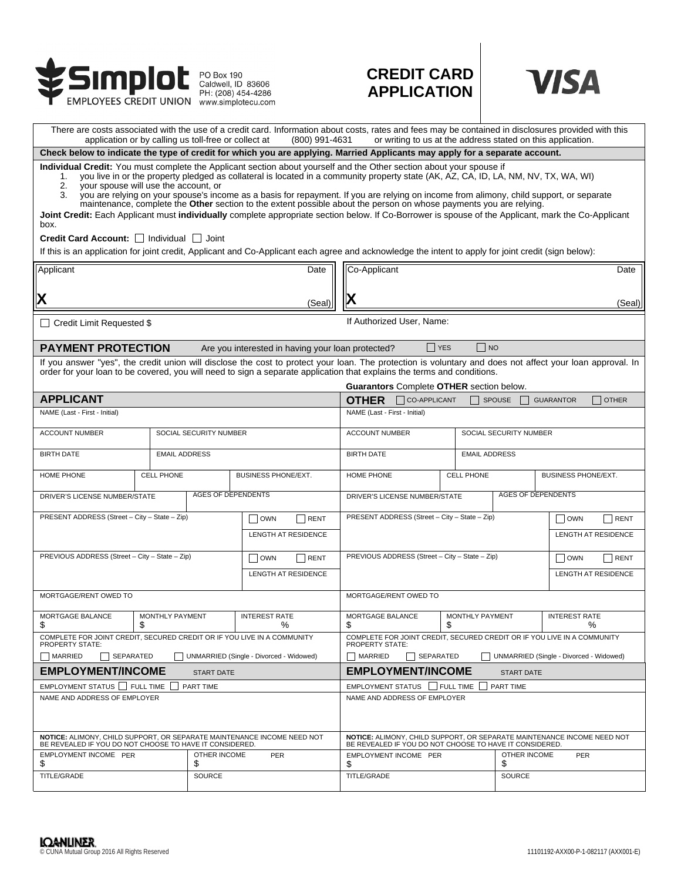

## **CREDIT CARD APPLICATION**



| There are costs associated with the use of a credit card. Information about costs, rates and fees may be contained in disclosures provided with this<br>application or by calling us toll-free or collect at<br>(800) 991-4631<br>or writing to us at the address stated on this application.                                                                                                                                                                                                                                                                                                                                                                                                                                                                                                    |                        |               |                             |                                                                                                                                                                                                                                                                                      |                                                                                                                                    |                            |                       |                            |                      |                            |  |
|--------------------------------------------------------------------------------------------------------------------------------------------------------------------------------------------------------------------------------------------------------------------------------------------------------------------------------------------------------------------------------------------------------------------------------------------------------------------------------------------------------------------------------------------------------------------------------------------------------------------------------------------------------------------------------------------------------------------------------------------------------------------------------------------------|------------------------|---------------|-----------------------------|--------------------------------------------------------------------------------------------------------------------------------------------------------------------------------------------------------------------------------------------------------------------------------------|------------------------------------------------------------------------------------------------------------------------------------|----------------------------|-----------------------|----------------------------|----------------------|----------------------------|--|
| Check below to indicate the type of credit for which you are applying. Married Applicants may apply for a separate account.                                                                                                                                                                                                                                                                                                                                                                                                                                                                                                                                                                                                                                                                      |                        |               |                             |                                                                                                                                                                                                                                                                                      |                                                                                                                                    |                            |                       |                            |                      |                            |  |
| Individual Credit: You must complete the Applicant section about yourself and the Other section about your spouse if<br>you live in or the property pledged as collateral is located in a community property state (AK, AZ, CA, ID, LA, NM, NV, TX, WA, WI)<br>1.<br>your spouse will use the account, or<br>2.<br>you are relying on your spouse's income as a basis for repayment. If you are relying on income from alimony, child support, or separate<br>3.<br>maintenance, complete the Other section to the extent possible about the person on whose payments you are relying.<br>Joint Credit: Each Applicant must individually complete appropriate section below. If Co-Borrower is spouse of the Applicant, mark the Co-Applicant<br>box.<br>Credit Card Account: Individual I Joint |                        |               |                             |                                                                                                                                                                                                                                                                                      |                                                                                                                                    |                            |                       |                            |                      |                            |  |
| If this is an application for joint credit, Applicant and Co-Applicant each agree and acknowledge the intent to apply for joint credit (sign below):                                                                                                                                                                                                                                                                                                                                                                                                                                                                                                                                                                                                                                             |                        |               |                             |                                                                                                                                                                                                                                                                                      |                                                                                                                                    |                            |                       |                            |                      |                            |  |
| Applicant<br>Date                                                                                                                                                                                                                                                                                                                                                                                                                                                                                                                                                                                                                                                                                                                                                                                |                        |               |                             |                                                                                                                                                                                                                                                                                      | Co-Applicant                                                                                                                       |                            |                       |                            |                      | Date                       |  |
| X<br>(Seal                                                                                                                                                                                                                                                                                                                                                                                                                                                                                                                                                                                                                                                                                                                                                                                       |                        |               |                             |                                                                                                                                                                                                                                                                                      |                                                                                                                                    |                            |                       |                            |                      | (Seal)                     |  |
| $\Box$ Credit Limit Requested \$                                                                                                                                                                                                                                                                                                                                                                                                                                                                                                                                                                                                                                                                                                                                                                 |                        |               |                             |                                                                                                                                                                                                                                                                                      | If Authorized User, Name:                                                                                                          |                            |                       |                            |                      |                            |  |
| <b>PAYMENT PROTECTION</b><br>$\Box$ NO<br><b>NES</b><br>Are you interested in having your loan protected?                                                                                                                                                                                                                                                                                                                                                                                                                                                                                                                                                                                                                                                                                        |                        |               |                             |                                                                                                                                                                                                                                                                                      |                                                                                                                                    |                            |                       |                            |                      |                            |  |
|                                                                                                                                                                                                                                                                                                                                                                                                                                                                                                                                                                                                                                                                                                                                                                                                  |                        |               |                             | If you answer "yes", the credit union will disclose the cost to protect your loan. The protection is voluntary and does not affect your loan approval. In<br>order for your loan to be covered, you will need to sign a separate application that explains the terms and conditions. |                                                                                                                                    |                            |                       |                            |                      |                            |  |
|                                                                                                                                                                                                                                                                                                                                                                                                                                                                                                                                                                                                                                                                                                                                                                                                  |                        |               |                             |                                                                                                                                                                                                                                                                                      | Guarantors Complete OTHER section below.                                                                                           |                            |                       |                            |                      |                            |  |
| <b>APPLICANT</b><br>NAME (Last - First - Initial)                                                                                                                                                                                                                                                                                                                                                                                                                                                                                                                                                                                                                                                                                                                                                |                        |               |                             |                                                                                                                                                                                                                                                                                      | CO-APPLICANT<br>$\Box$ OTHER<br><b>OTHER</b><br>SPOUSE<br><b>GUARANTOR</b><br>NAME (Last - First - Initial)                        |                            |                       |                            |                      |                            |  |
|                                                                                                                                                                                                                                                                                                                                                                                                                                                                                                                                                                                                                                                                                                                                                                                                  |                        |               |                             |                                                                                                                                                                                                                                                                                      |                                                                                                                                    |                            |                       |                            |                      |                            |  |
| <b>ACCOUNT NUMBER</b><br>SOCIAL SECURITY NUMBER                                                                                                                                                                                                                                                                                                                                                                                                                                                                                                                                                                                                                                                                                                                                                  |                        |               |                             |                                                                                                                                                                                                                                                                                      | <b>ACCOUNT NUMBER</b><br>SOCIAL SECURITY NUMBER                                                                                    |                            |                       |                            |                      |                            |  |
| <b>BIRTH DATE</b>                                                                                                                                                                                                                                                                                                                                                                                                                                                                                                                                                                                                                                                                                                                                                                                | <b>EMAIL ADDRESS</b>   |               |                             | <b>BIRTH DATE</b>                                                                                                                                                                                                                                                                    |                                                                                                                                    |                            | <b>EMAIL ADDRESS</b>  |                            |                      |                            |  |
| <b>HOME PHONE</b>                                                                                                                                                                                                                                                                                                                                                                                                                                                                                                                                                                                                                                                                                                                                                                                | <b>CELL PHONE</b>      |               | BUSINESS PHONE/EXT.         |                                                                                                                                                                                                                                                                                      | HOME PHONE                                                                                                                         |                            | <b>CELL PHONE</b>     | <b>BUSINESS PHONE/EXT.</b> |                      |                            |  |
| <b>AGES OF DEPENDENTS</b><br>DRIVER'S LICENSE NUMBER/STATE                                                                                                                                                                                                                                                                                                                                                                                                                                                                                                                                                                                                                                                                                                                                       |                        |               |                             |                                                                                                                                                                                                                                                                                      | <b>AGES OF DEPENDENTS</b><br>DRIVER'S LICENSE NUMBER/STATE                                                                         |                            |                       |                            |                      |                            |  |
| PRESENT ADDRESS (Street - City - State - Zip)                                                                                                                                                                                                                                                                                                                                                                                                                                                                                                                                                                                                                                                                                                                                                    |                        |               | $\vert$ $\vert$ OWN<br>RENT |                                                                                                                                                                                                                                                                                      | PRESENT ADDRESS (Street - City - State - Zip)                                                                                      |                            |                       |                            | $\vert$ OWN          | RENT                       |  |
|                                                                                                                                                                                                                                                                                                                                                                                                                                                                                                                                                                                                                                                                                                                                                                                                  |                        |               | <b>LENGTH AT RESIDENCE</b>  |                                                                                                                                                                                                                                                                                      |                                                                                                                                    |                            |                       |                            |                      | <b>LENGTH AT RESIDENCE</b> |  |
| PREVIOUS ADDRESS (Street - City - State - Zip)                                                                                                                                                                                                                                                                                                                                                                                                                                                                                                                                                                                                                                                                                                                                                   |                        |               | <b>OWN</b><br>RENT          |                                                                                                                                                                                                                                                                                      | PREVIOUS ADDRESS (Street - City - State - Zip)                                                                                     |                            |                       |                            | $\vert$ OWN          | RENT                       |  |
|                                                                                                                                                                                                                                                                                                                                                                                                                                                                                                                                                                                                                                                                                                                                                                                                  |                        |               | LENGTH AT RESIDENCE         |                                                                                                                                                                                                                                                                                      |                                                                                                                                    |                            |                       |                            |                      | <b>LENGTH AT RESIDENCE</b> |  |
| MORTGAGE/RENT OWED TO                                                                                                                                                                                                                                                                                                                                                                                                                                                                                                                                                                                                                                                                                                                                                                            |                        |               |                             |                                                                                                                                                                                                                                                                                      | MORTGAGE/RENT OWED TO                                                                                                              |                            |                       |                            |                      |                            |  |
| <b>MORTGAGE BALANCE</b><br>\$<br>\$                                                                                                                                                                                                                                                                                                                                                                                                                                                                                                                                                                                                                                                                                                                                                              | <b>MONTHLY PAYMENT</b> |               | <b>INTEREST RATE</b><br>℅   |                                                                                                                                                                                                                                                                                      | MORTGAGE BALANCE<br>\$                                                                                                             |                            | MONTHLY PAYMENT<br>\$ |                            | <b>INTEREST RATE</b> | ℅                          |  |
| COMPLETE FOR JOINT CREDIT, SECURED CREDIT OR IF YOU LIVE IN A COMMUNITY<br><b>PROPERTY STATE:</b>                                                                                                                                                                                                                                                                                                                                                                                                                                                                                                                                                                                                                                                                                                |                        |               |                             |                                                                                                                                                                                                                                                                                      | COMPLETE FOR JOINT CREDIT, SECURED CREDIT OR IF YOU LIVE IN A COMMUNITY<br><b>PROPERTY STATE:</b>                                  |                            |                       |                            |                      |                            |  |
| MARRIED<br>SEPARATED<br>UNMARRIED (Single - Divorced - Widowed)                                                                                                                                                                                                                                                                                                                                                                                                                                                                                                                                                                                                                                                                                                                                  |                        |               |                             |                                                                                                                                                                                                                                                                                      | <b>MARRIED</b><br>SEPARATED<br>UNMARRIED (Single - Divorced - Widowed)                                                             |                            |                       |                            |                      |                            |  |
| <b>EMPLOYMENT/INCOME</b><br><b>START DATE</b>                                                                                                                                                                                                                                                                                                                                                                                                                                                                                                                                                                                                                                                                                                                                                    |                        |               |                             |                                                                                                                                                                                                                                                                                      | <b>EMPLOYMENT/INCOME</b><br><b>START DATE</b>                                                                                      |                            |                       |                            |                      |                            |  |
| EMPLOYMENT STATUS IS FULL TIME<br>PART TIME                                                                                                                                                                                                                                                                                                                                                                                                                                                                                                                                                                                                                                                                                                                                                      |                        |               |                             |                                                                                                                                                                                                                                                                                      | EMPLOYMENT STATUS   FULL TIME<br>PART TIME                                                                                         |                            |                       |                            |                      |                            |  |
| NAME AND ADDRESS OF EMPLOYER                                                                                                                                                                                                                                                                                                                                                                                                                                                                                                                                                                                                                                                                                                                                                                     |                        |               |                             |                                                                                                                                                                                                                                                                                      | NAME AND ADDRESS OF EMPLOYER                                                                                                       |                            |                       |                            |                      |                            |  |
| NOTICE: ALIMONY, CHILD SUPPORT, OR SEPARATE MAINTENANCE INCOME NEED NOT<br>BE REVEALED IF YOU DO NOT CHOOSE TO HAVE IT CONSIDERED.                                                                                                                                                                                                                                                                                                                                                                                                                                                                                                                                                                                                                                                               |                        |               |                             |                                                                                                                                                                                                                                                                                      | NOTICE: ALIMONY, CHILD SUPPORT, OR SEPARATE MAINTENANCE INCOME NEED NOT<br>BE REVEALED IF YOU DO NOT CHOOSE TO HAVE IT CONSIDERED. |                            |                       |                            |                      |                            |  |
| EMPLOYMENT INCOME PER<br>\$                                                                                                                                                                                                                                                                                                                                                                                                                                                                                                                                                                                                                                                                                                                                                                      | OTHER INCOME<br>\$     |               |                             | PER                                                                                                                                                                                                                                                                                  |                                                                                                                                    | EMPLOYMENT INCOME PER<br>S |                       | OTHER INCOME<br>S          | <b>PER</b>           |                            |  |
| TITLE/GRADE                                                                                                                                                                                                                                                                                                                                                                                                                                                                                                                                                                                                                                                                                                                                                                                      |                        | <b>SOURCE</b> |                             |                                                                                                                                                                                                                                                                                      | TITLE/GRADE                                                                                                                        |                            |                       | <b>SOURCE</b>              |                      |                            |  |